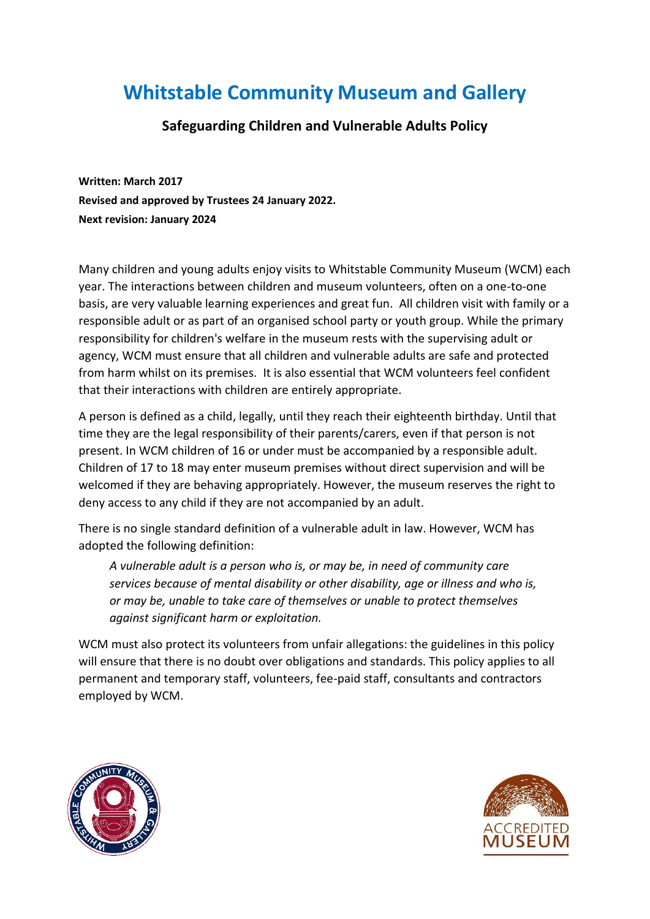# **Whitstable Community Museum and Gallery**

## **Safeguarding Children and Vulnerable Adults Policy**

**Written: March 2017 Revised and approved by Trustees 24 January 2022. Next revision: January 2024**

Many children and young adults enjoy visits to Whitstable Community Museum (WCM) each year. The interactions between children and museum volunteers, often on a one-to-one basis, are very valuable learning experiences and great fun. All children visit with family or a responsible adult or as part of an organised school party or youth group. While the primary responsibility for children's welfare in the museum rests with the supervising adult or agency, WCM must ensure that all children and vulnerable adults are safe and protected from harm whilst on its premises. It is also essential that WCM volunteers feel confident that their interactions with children are entirely appropriate.

A person is defined as a child, legally, until they reach their eighteenth birthday. Until that time they are the legal responsibility of their parents/carers, even if that person is not present. In WCM children of 16 or under must be accompanied by a responsible adult. Children of 17 to 18 may enter museum premises without direct supervision and will be welcomed if they are behaving appropriately. However, the museum reserves the right to deny access to any child if they are not accompanied by an adult.

There is no single standard definition of a vulnerable adult in law. However, WCM has adopted the following definition:

*A vulnerable adult is a person who is, or may be, in need of community care services because of mental disability or other disability, age or illness and who is, or may be, unable to take care of themselves or unable to protect themselves against significant harm or exploitation.* 

WCM must also protect its volunteers from unfair allegations: the guidelines in this policy will ensure that there is no doubt over obligations and standards. This policy applies to all permanent and temporary staff, volunteers, fee-paid staff, consultants and contractors employed by WCM.



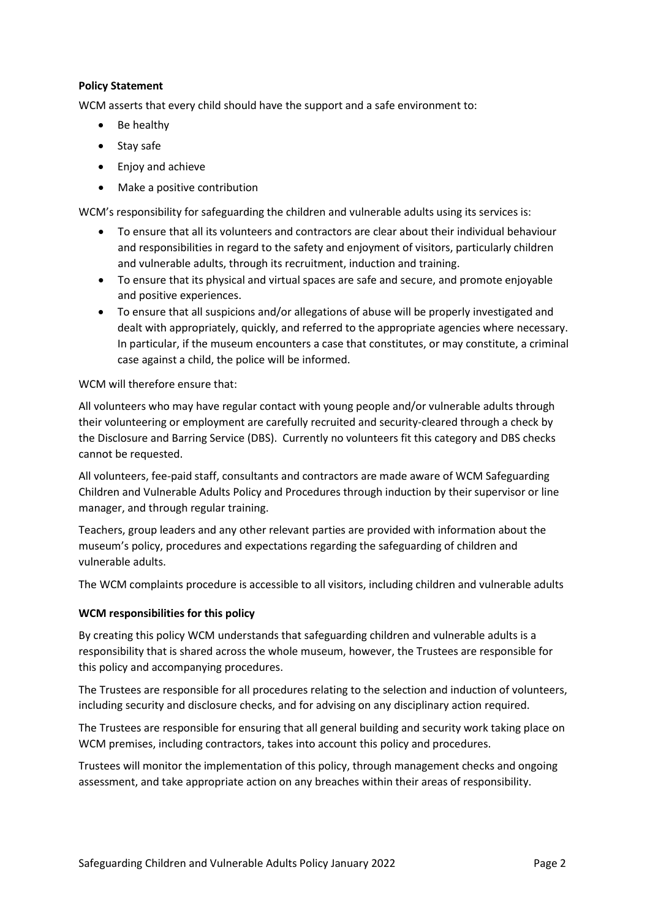### **Policy Statement**

WCM asserts that every child should have the support and a safe environment to:

- Be healthy
- Stay safe
- Enjoy and achieve
- Make a positive contribution

WCM's responsibility for safeguarding the children and vulnerable adults using its services is:

- To ensure that all its volunteers and contractors are clear about their individual behaviour and responsibilities in regard to the safety and enjoyment of visitors, particularly children and vulnerable adults, through its recruitment, induction and training.
- To ensure that its physical and virtual spaces are safe and secure, and promote enjoyable and positive experiences.
- To ensure that all suspicions and/or allegations of abuse will be properly investigated and dealt with appropriately, quickly, and referred to the appropriate agencies where necessary. In particular, if the museum encounters a case that constitutes, or may constitute, a criminal case against a child, the police will be informed.

#### WCM will therefore ensure that:

All volunteers who may have regular contact with young people and/or vulnerable adults through their volunteering or employment are carefully recruited and security-cleared through a check by the Disclosure and Barring Service (DBS). Currently no volunteers fit this category and DBS checks cannot be requested.

All volunteers, fee-paid staff, consultants and contractors are made aware of WCM Safeguarding Children and Vulnerable Adults Policy and Procedures through induction by their supervisor or line manager, and through regular training.

Teachers, group leaders and any other relevant parties are provided with information about the museum's policy, procedures and expectations regarding the safeguarding of children and vulnerable adults.

The WCM complaints procedure is accessible to all visitors, including children and vulnerable adults

#### **WCM responsibilities for this policy**

By creating this policy WCM understands that safeguarding children and vulnerable adults is a responsibility that is shared across the whole museum, however, the Trustees are responsible for this policy and accompanying procedures.

The Trustees are responsible for all procedures relating to the selection and induction of volunteers, including security and disclosure checks, and for advising on any disciplinary action required.

The Trustees are responsible for ensuring that all general building and security work taking place on WCM premises, including contractors, takes into account this policy and procedures.

Trustees will monitor the implementation of this policy, through management checks and ongoing assessment, and take appropriate action on any breaches within their areas of responsibility.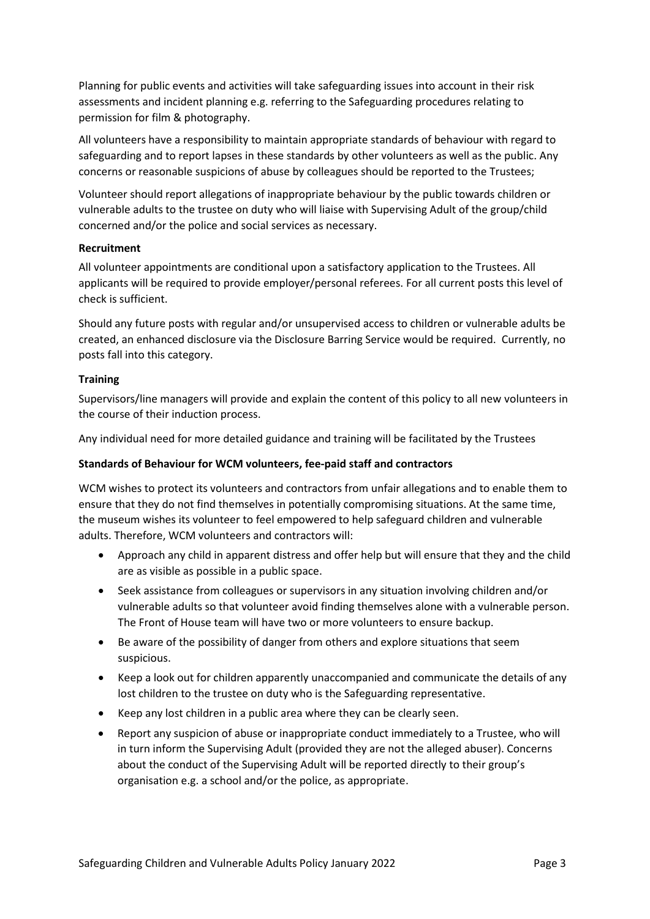Planning for public events and activities will take safeguarding issues into account in their risk assessments and incident planning e.g. referring to the Safeguarding procedures relating to permission for film & photography.

All volunteers have a responsibility to maintain appropriate standards of behaviour with regard to safeguarding and to report lapses in these standards by other volunteers as well as the public. Any concerns or reasonable suspicions of abuse by colleagues should be reported to the Trustees;

Volunteer should report allegations of inappropriate behaviour by the public towards children or vulnerable adults to the trustee on duty who will liaise with Supervising Adult of the group/child concerned and/or the police and social services as necessary.

#### **Recruitment**

All volunteer appointments are conditional upon a satisfactory application to the Trustees. All applicants will be required to provide employer/personal referees. For all current posts this level of check is sufficient.

Should any future posts with regular and/or unsupervised access to children or vulnerable adults be created, an enhanced disclosure via the Disclosure Barring Service would be required. Currently, no posts fall into this category.

#### **Training**

Supervisors/line managers will provide and explain the content of this policy to all new volunteers in the course of their induction process.

Any individual need for more detailed guidance and training will be facilitated by the Trustees

#### **Standards of Behaviour for WCM volunteers, fee-paid staff and contractors**

WCM wishes to protect its volunteers and contractors from unfair allegations and to enable them to ensure that they do not find themselves in potentially compromising situations. At the same time, the museum wishes its volunteer to feel empowered to help safeguard children and vulnerable adults. Therefore, WCM volunteers and contractors will:

- Approach any child in apparent distress and offer help but will ensure that they and the child are as visible as possible in a public space.
- Seek assistance from colleagues or supervisors in any situation involving children and/or vulnerable adults so that volunteer avoid finding themselves alone with a vulnerable person. The Front of House team will have two or more volunteers to ensure backup.
- Be aware of the possibility of danger from others and explore situations that seem suspicious.
- Keep a look out for children apparently unaccompanied and communicate the details of any lost children to the trustee on duty who is the Safeguarding representative.
- Keep any lost children in a public area where they can be clearly seen.
- Report any suspicion of abuse or inappropriate conduct immediately to a Trustee, who will in turn inform the Supervising Adult (provided they are not the alleged abuser). Concerns about the conduct of the Supervising Adult will be reported directly to their group's organisation e.g. a school and/or the police, as appropriate.